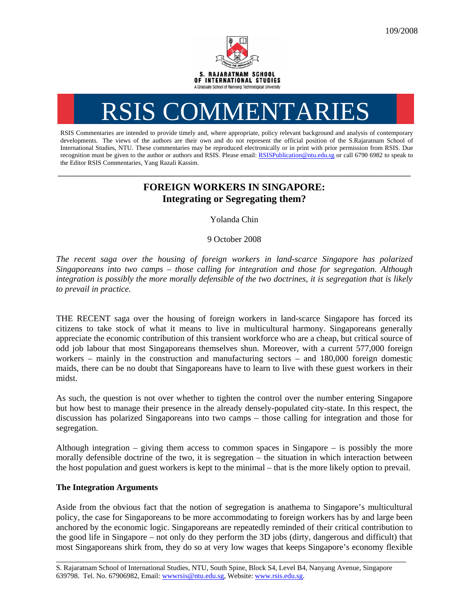

# RSIS COMMENTARI

RSIS Commentaries are intended to provide timely and, where appropriate, policy relevant background and analysis of contemporary developments. The views of the authors are their own and do not represent the official position of the S.Rajaratnam School of International Studies, NTU. These commentaries may be reproduced electronically or in print with prior permission from RSIS. Due recognition must be given to the author or authors and RSIS. Please email: RSISPublication@ntu.edu.sg or call 6790 6982 to speak to the Editor RSIS Commentaries, Yang Razali Kassim.

## **FOREIGN WORKERS IN SINGAPORE: Integrating or Segregating them?**

**\_\_\_\_\_\_\_\_\_\_\_\_\_\_\_\_\_\_\_\_\_\_\_\_\_\_\_\_\_\_\_\_\_\_\_\_\_\_\_\_\_\_\_\_\_\_\_\_\_\_\_\_\_\_\_\_\_\_\_\_\_\_\_\_\_\_\_\_\_\_\_\_\_\_\_\_\_\_\_\_\_\_\_\_\_\_\_\_\_\_\_\_\_\_\_\_\_\_** 

Yolanda Chin

9 October 2008

*The recent saga over the housing of foreign workers in land-scarce Singapore has polarized Singaporeans into two camps – those calling for integration and those for segregation. Although integration is possibly the more morally defensible of the two doctrines, it is segregation that is likely to prevail in practice.* 

THE RECENT saga over the housing of foreign workers in land-scarce Singapore has forced its citizens to take stock of what it means to live in multicultural harmony. Singaporeans generally appreciate the economic contribution of this transient workforce who are a cheap, but critical source of odd job labour that most Singaporeans themselves shun. Moreover, with a current 577,000 foreign workers – mainly in the construction and manufacturing sectors – and 180,000 foreign domestic maids, there can be no doubt that Singaporeans have to learn to live with these guest workers in their midst.

As such, the question is not over whether to tighten the control over the number entering Singapore but how best to manage their presence in the already densely-populated city-state. In this respect, the discussion has polarized Singaporeans into two camps – those calling for integration and those for segregation.

Although integration – giving them access to common spaces in Singapore – is possibly the more morally defensible doctrine of the two, it is segregation – the situation in which interaction between the host population and guest workers is kept to the minimal – that is the more likely option to prevail.

### **The Integration Arguments**

Aside from the obvious fact that the notion of segregation is anathema to Singapore's multicultural policy, the case for Singaporeans to be more accommodating to foreign workers has by and large been anchored by the economic logic. Singaporeans are repeatedly reminded of their critical contribution to the good life in Singapore – not only do they perform the 3D jobs (dirty, dangerous and difficult) that most Singaporeans shirk from, they do so at very low wages that keeps Singapore's economy flexible

\_\_\_\_\_\_\_\_\_\_\_\_\_\_\_\_\_\_\_\_\_\_\_\_\_\_\_\_\_\_\_\_\_\_\_\_\_\_\_\_\_\_\_\_\_\_\_\_\_\_\_\_\_\_\_\_\_\_\_\_\_\_\_\_\_\_\_\_\_\_\_\_\_\_\_\_\_\_\_\_\_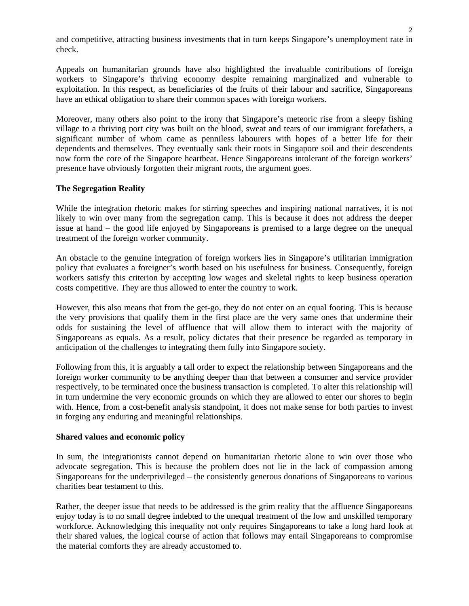and competitive, attracting business investments that in turn keeps Singapore's unemployment rate in check.

Appeals on humanitarian grounds have also highlighted the invaluable contributions of foreign workers to Singapore's thriving economy despite remaining marginalized and vulnerable to exploitation. In this respect, as beneficiaries of the fruits of their labour and sacrifice, Singaporeans have an ethical obligation to share their common spaces with foreign workers.

Moreover, many others also point to the irony that Singapore's meteoric rise from a sleepy fishing village to a thriving port city was built on the blood, sweat and tears of our immigrant forefathers, a significant number of whom came as penniless labourers with hopes of a better life for their dependents and themselves. They eventually sank their roots in Singapore soil and their descendents now form the core of the Singapore heartbeat. Hence Singaporeans intolerant of the foreign workers' presence have obviously forgotten their migrant roots, the argument goes.

#### **The Segregation Reality**

While the integration rhetoric makes for stirring speeches and inspiring national narratives, it is not likely to win over many from the segregation camp. This is because it does not address the deeper issue at hand – the good life enjoyed by Singaporeans is premised to a large degree on the unequal treatment of the foreign worker community.

An obstacle to the genuine integration of foreign workers lies in Singapore's utilitarian immigration policy that evaluates a foreigner's worth based on his usefulness for business. Consequently, foreign workers satisfy this criterion by accepting low wages and skeletal rights to keep business operation costs competitive. They are thus allowed to enter the country to work.

However, this also means that from the get-go, they do not enter on an equal footing. This is because the very provisions that qualify them in the first place are the very same ones that undermine their odds for sustaining the level of affluence that will allow them to interact with the majority of Singaporeans as equals. As a result, policy dictates that their presence be regarded as temporary in anticipation of the challenges to integrating them fully into Singapore society.

Following from this, it is arguably a tall order to expect the relationship between Singaporeans and the foreign worker community to be anything deeper than that between a consumer and service provider respectively, to be terminated once the business transaction is completed. To alter this relationship will in turn undermine the very economic grounds on which they are allowed to enter our shores to begin with. Hence, from a cost-benefit analysis standpoint, it does not make sense for both parties to invest in forging any enduring and meaningful relationships.

#### **Shared values and economic policy**

In sum, the integrationists cannot depend on humanitarian rhetoric alone to win over those who advocate segregation. This is because the problem does not lie in the lack of compassion among Singaporeans for the underprivileged – the consistently generous donations of Singaporeans to various charities bear testament to this.

Rather, the deeper issue that needs to be addressed is the grim reality that the affluence Singaporeans enjoy today is to no small degree indebted to the unequal treatment of the low and unskilled temporary workforce. Acknowledging this inequality not only requires Singaporeans to take a long hard look at their shared values, the logical course of action that follows may entail Singaporeans to compromise the material comforts they are already accustomed to.